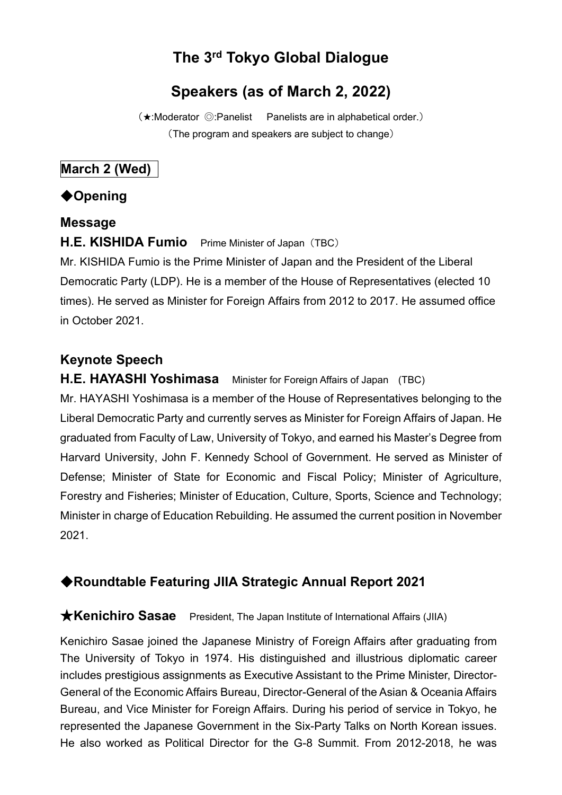# **The 3rd Tokyo Global Dialogue**

# **Speakers (as of March 2, 2022)**

(★:Moderator ◎:Panelist Panelists are in alphabetical order.) (The program and speakers are subject to change)

# **March 2 (Wed)**

# ◆**Opening**

#### **Message**

### **H.E. KISHIDA Fumio** Prime Minister of Japan (TBC)

Mr. KISHIDA Fumio is the Prime Minister of Japan and the President of the Liberal Democratic Party (LDP). He is a member of the House of Representatives (elected 10 times). He served as Minister for Foreign Affairs from 2012 to 2017. He assumed office in October 2021.

# **Keynote Speech**

**H.E. HAYASHI Yoshimasa** Minister for Foreign Affairs of Japan (TBC) Mr. HAYASHI Yoshimasa is a member of the House of Representatives belonging to the Liberal Democratic Party and currently serves as Minister for Foreign Affairs of Japan. He graduated from Faculty of Law, University of Tokyo, and earned his Master's Degree from Harvard University, John F. Kennedy School of Government. He served as Minister of Defense; Minister of State for Economic and Fiscal Policy; Minister of Agriculture, Forestry and Fisheries; Minister of Education, Culture, Sports, Science and Technology; Minister in charge of Education Rebuilding. He assumed the current position in November 2021.

# ◆**Roundtable Featuring JIIA Strategic Annual Report 2021**

#### ★**Kenichiro Sasae** President, The Japan Institute of International Affairs (JIIA)

Kenichiro Sasae joined the Japanese Ministry of Foreign Affairs after graduating from The University of Tokyo in 1974. His distinguished and illustrious diplomatic career includes prestigious assignments as Executive Assistant to the Prime Minister, Director-General of the Economic Affairs Bureau, Director-General of the Asian & Oceania Affairs Bureau, and Vice Minister for Foreign Affairs. During his period of service in Tokyo, he represented the Japanese Government in the Six-Party Talks on North Korean issues. He also worked as Political Director for the G-8 Summit. From 2012-2018, he was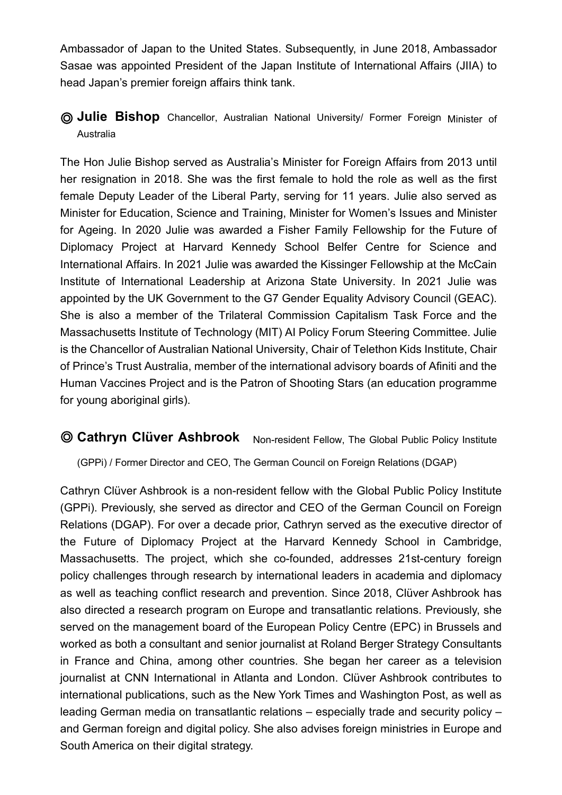Ambassador of Japan to the United States. Subsequently, in June 2018, Ambassador Sasae was appointed President of the Japan Institute of International Affairs (JIIA) to head Japan's premier foreign affairs think tank.

◎ **Julie Bishop** Chancellor, Australian National University/ Former Foreign Minister of Australia

The Hon Julie Bishop served as Australia's Minister for Foreign Affairs from 2013 until her resignation in 2018. She was the first female to hold the role as well as the first female Deputy Leader of the Liberal Party, serving for 11 years. Julie also served as Minister for Education, Science and Training, Minister for Women's Issues and Minister for Ageing. In 2020 Julie was awarded a Fisher Family Fellowship for the Future of Diplomacy Project at Harvard Kennedy School Belfer Centre for Science and International Affairs. In 2021 Julie was awarded the Kissinger Fellowship at the McCain Institute of International Leadership at Arizona State University. In 2021 Julie was appointed by the UK Government to the G7 Gender Equality Advisory Council (GEAC). She is also a member of the Trilateral Commission Capitalism Task Force and the Massachusetts Institute of Technology (MIT) AI Policy Forum Steering Committee. Julie is the Chancellor of Australian National University, Chair of Telethon Kids Institute, Chair of Prince's Trust Australia, member of the international advisory boards of Afiniti and the Human Vaccines Project and is the Patron of Shooting Stars (an education programme for young aboriginal girls).

**© Cathryn Clüver Ashbrook** Non-resident Fellow, The Global Public Policy Institute

(GPPi) / Former Director and CEO, The German Council on Foreign Relations (DGAP)

Cathryn Clüver Ashbrook is a non-resident fellow with the Global Public Policy Institute (GPPi). Previously, she served as director and CEO of the German Council on Foreign Relations (DGAP). For over a decade prior, Cathryn served as the executive director of the Future of Diplomacy Project at the Harvard Kennedy School in Cambridge, Massachusetts. The project, which she co-founded, addresses 21st-century foreign policy challenges through research by international leaders in academia and diplomacy as well as teaching conflict research and prevention. Since 2018, Clüver Ashbrook has also directed a research program on Europe and transatlantic relations. Previously, she served on the management board of the European Policy Centre (EPC) in Brussels and worked as both a consultant and senior journalist at Roland Berger Strategy Consultants in France and China, among other countries. She began her career as a television journalist at CNN International in Atlanta and London. Clüver Ashbrook contributes to international publications, such as the New York Times and Washington Post, as well as leading German media on transatlantic relations – especially trade and security policy – and German foreign and digital policy. She also advises foreign ministries in Europe and South America on their digital strategy.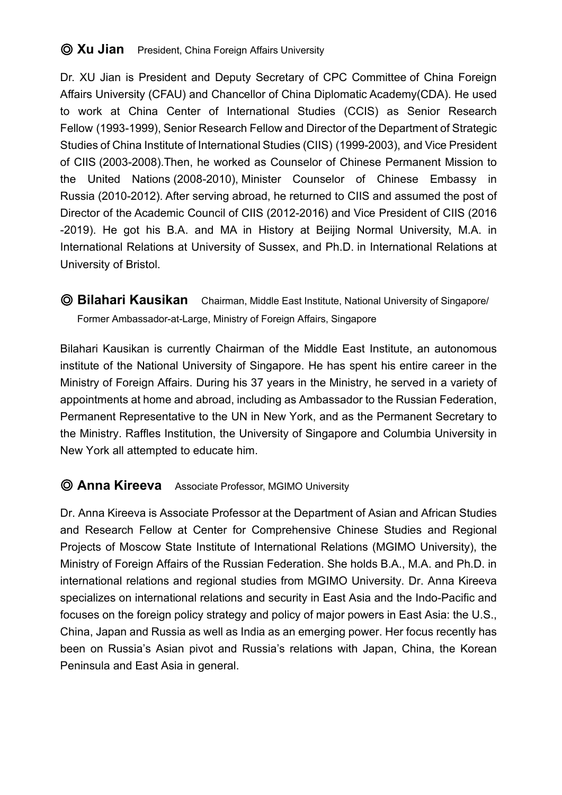## ◎ **Xu Jian** President, China Foreign Affairs University

Dr. XU Jian is President and Deputy Secretary of CPC Committee of China Foreign Affairs University (CFAU) and Chancellor of China Diplomatic Academy(CDA). He used to work at China Center of International Studies (CCIS) as Senior Research Fellow (1993-1999), Senior Research Fellow and Director of the Department of Strategic Studies of China Institute of International Studies (CIIS) (1999-2003), and Vice President of CIIS (2003-2008).Then, he worked as Counselor of Chinese Permanent Mission to the United Nations (2008-2010), Minister Counselor of Chinese Embassy in Russia (2010-2012). After serving abroad, he returned to CIIS and assumed the post of Director of the Academic Council of CIIS (2012-2016) and Vice President of CIIS (2016 -2019). He got his B.A. and MA in History at Beijing Normal University, M.A. in International Relations at University of Sussex, and Ph.D. in International Relations at University of Bristol.

◎ **Bilahari Kausikan** Chairman, Middle East Institute, National University of Singapore/ Former Ambassador-at-Large, Ministry of Foreign Affairs, Singapore

Bilahari Kausikan is currently Chairman of the Middle East Institute, an autonomous institute of the National University of Singapore. He has spent his entire career in the Ministry of Foreign Affairs. During his 37 years in the Ministry, he served in a variety of appointments at home and abroad, including as Ambassador to the Russian Federation, Permanent Representative to the UN in New York, and as the Permanent Secretary to the Ministry. Raffles Institution, the University of Singapore and Columbia University in New York all attempted to educate him.

#### ◎ **Anna Kireeva** Associate Professor, MGIMO University

Dr. Anna Kireeva is Associate Professor at the Department of Asian and African Studies and Research Fellow at Center for Comprehensive Chinese Studies and Regional Projects of Moscow State Institute of International Relations (MGIMO University), the Ministry of Foreign Affairs of the Russian Federation. She holds B.A., M.A. and Ph.D. in international relations and regional studies from MGIMO University. Dr. Anna Kireeva specializes on international relations and security in East Asia and the Indo-Pacific and focuses on the foreign policy strategy and policy of major powers in East Asia: the U.S., China, Japan and Russia as well as India as an emerging power. Her focus recently has been on Russia's Asian pivot and Russia's relations with Japan, China, the Korean Peninsula and East Asia in general.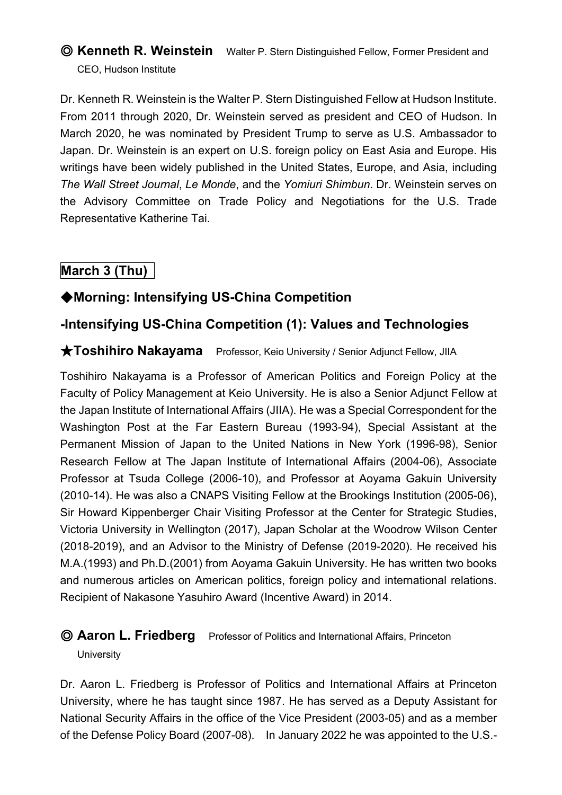# ◎ **Kenneth R. Weinstein** Walter P. Stern Distinguished Fellow, Former President and CEO, Hudson Institute

Dr. Kenneth R. Weinstein is the Walter P. Stern Distinguished Fellow at Hudson Institute. From 2011 through 2020, Dr. Weinstein served as president and CEO of Hudson. In March 2020, he was nominated by President Trump to serve as U.S. Ambassador to Japan. Dr. Weinstein is an expert on U.S. foreign policy on East Asia and Europe. His writings have been widely published in the United States, Europe, and Asia, including *The Wall Street Journal*, *Le Monde*, and the *Yomiuri Shimbun*. Dr. Weinstein serves on the Advisory Committee on Trade Policy and Negotiations for the U.S. Trade Representative Katherine Tai.

# **March 3 (Thu)**

# ◆**Morning: Intensifying US-China Competition**

### **-Intensifying US-China Competition (1): Values and Technologies**

#### ★**Toshihiro Nakayama** Professor, Keio University / Senior Adjunct Fellow, JIIA

Toshihiro Nakayama is a Professor of American Politics and Foreign Policy at the Faculty of Policy Management at Keio University. He is also a Senior Adjunct Fellow at the Japan Institute of International Affairs (JIIA). He was a Special Correspondent for the Washington Post at the Far Eastern Bureau (1993-94), Special Assistant at the Permanent Mission of Japan to the United Nations in New York (1996-98), Senior Research Fellow at The Japan Institute of International Affairs (2004-06), Associate Professor at Tsuda College (2006-10), and Professor at Aoyama Gakuin University (2010-14). He was also a CNAPS Visiting Fellow at the Brookings Institution (2005-06), Sir Howard Kippenberger Chair Visiting Professor at the Center for Strategic Studies, Victoria University in Wellington (2017), Japan Scholar at the Woodrow Wilson Center (2018-2019), and an Advisor to the Ministry of Defense (2019-2020). He received his M.A.(1993) and Ph.D.(2001) from Aoyama Gakuin University. He has written two books and numerous articles on American politics, foreign policy and international relations. Recipient of Nakasone Yasuhiro Award (Incentive Award) in 2014.

### ◎ **Aaron L. Friedberg** Professor of Politics and International Affairs, Princeton

#### **University**

Dr. Aaron L. Friedberg is Professor of Politics and International Affairs at Princeton University, where he has taught since 1987. He has served as a Deputy Assistant for National Security Affairs in the office of the Vice President (2003-05) and as a member of the Defense Policy Board (2007-08). In January 2022 he was appointed to the U.S.-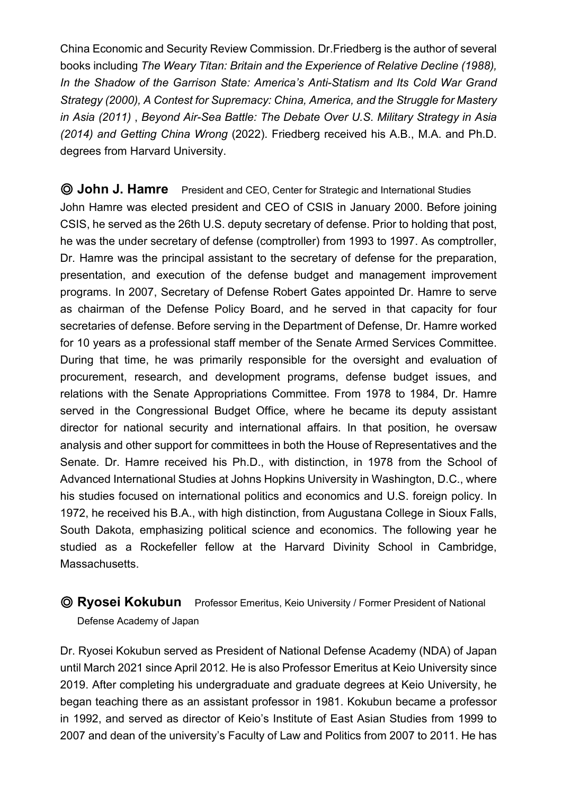China Economic and Security Review Commission. Dr.Friedberg is the author of several books including *The Weary Titan: Britain and the Experience of Relative Decline (1988), In the Shadow of the Garrison State: America's Anti-Statism and Its Cold War Grand Strategy (2000), A Contest for Supremacy: China, America, and the Struggle for Mastery in Asia (2011)* , *Beyond Air-Sea Battle: The Debate Over U.S. Military Strategy in Asia (2014) and Getting China Wrong* (2022). Friedberg received his A.B., M.A. and Ph.D. degrees from Harvard University.

◎ **John J. Hamre** President and CEO, Center for Strategic and International Studies John Hamre was elected president and CEO of CSIS in January 2000. Before joining CSIS, he served as the 26th U.S. deputy secretary of defense. Prior to holding that post, he was the under secretary of defense (comptroller) from 1993 to 1997. As comptroller, Dr. Hamre was the principal assistant to the secretary of defense for the preparation, presentation, and execution of the defense budget and management improvement programs. In 2007, Secretary of Defense Robert Gates appointed Dr. Hamre to serve as chairman of the Defense Policy Board, and he served in that capacity for four secretaries of defense. Before serving in the Department of Defense, Dr. Hamre worked for 10 years as a professional staff member of the Senate Armed Services Committee. During that time, he was primarily responsible for the oversight and evaluation of procurement, research, and development programs, defense budget issues, and relations with the Senate Appropriations Committee. From 1978 to 1984, Dr. Hamre served in the Congressional Budget Office, where he became its deputy assistant director for national security and international affairs. In that position, he oversaw analysis and other support for committees in both the House of Representatives and the Senate. Dr. Hamre received his Ph.D., with distinction, in 1978 from the School of Advanced International Studies at Johns Hopkins University in Washington, D.C., where his studies focused on international politics and economics and U.S. foreign policy. In 1972, he received his B.A., with high distinction, from Augustana College in Sioux Falls, South Dakota, emphasizing political science and economics. The following year he studied as a Rockefeller fellow at the Harvard Divinity School in Cambridge, Massachusetts.

◎ **Ryosei Kokubun** Professor Emeritus, Keio University / Former President of National Defense Academy of Japan

Dr. Ryosei Kokubun served as President of National Defense Academy (NDA) of Japan until March 2021 since April 2012. He is also Professor Emeritus at Keio University since 2019. After completing his undergraduate and graduate degrees at Keio University, he began teaching there as an assistant professor in 1981. Kokubun became a professor in 1992, and served as director of Keio's Institute of East Asian Studies from 1999 to 2007 and dean of the university's Faculty of Law and Politics from 2007 to 2011. He has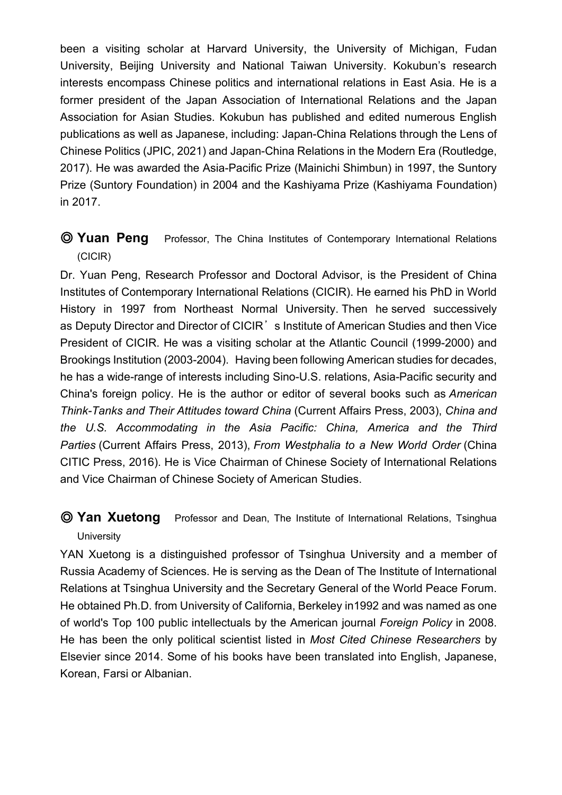been a visiting scholar at Harvard University, the University of Michigan, Fudan University, Beijing University and National Taiwan University. Kokubun's research interests encompass Chinese politics and international relations in East Asia. He is a former president of the Japan Association of International Relations and the Japan Association for Asian Studies. Kokubun has published and edited numerous English publications as well as Japanese, including: Japan-China Relations through the Lens of Chinese Politics (JPIC, 2021) and Japan-China Relations in the Modern Era (Routledge, 2017). He was awarded the Asia-Pacific Prize (Mainichi Shimbun) in 1997, the Suntory Prize (Suntory Foundation) in 2004 and the Kashiyama Prize (Kashiyama Foundation) in 2017.

### ◎ **Yuan Peng** Professor, The China Institutes of Contemporary International Relations (CICIR)

Dr. Yuan Peng, Research Professor and Doctoral Advisor, is the President of China Institutes of Contemporary International Relations (CICIR). He earned his PhD in World History in 1997 from Northeast Normal University. Then he served successively as Deputy Director and Director of CICIR's Institute of American Studies and then Vice President of CICIR. He was a visiting scholar at the Atlantic Council (1999-2000) and Brookings Institution (2003-2004). Having been following American studies for decades, he has a wide-range of interests including Sino-U.S. relations, Asia-Pacific security and China's foreign policy. He is the author or editor of several books such as *American Think-Tanks and Their Attitudes toward China* (Current Affairs Press, 2003), *China and the U.S. Accommodating in the Asia Pacific: China, America and the Third Parties* (Current Affairs Press, 2013), *From Westphalia to a New World Order* (China CITIC Press, 2016). He is Vice Chairman of Chinese Society of International Relations and Vice Chairman of Chinese Society of American Studies.

### ◎ **Yan Xuetong** Professor and Dean, The Institute of International Relations, Tsinghua **University**

YAN Xuetong is a distinguished professor of Tsinghua University and a member of Russia Academy of Sciences. He is serving as the Dean of The Institute of International Relations at Tsinghua University and the Secretary General of the World Peace Forum. He obtained Ph.D. from University of California, Berkeley in1992 and was named as one of world's Top 100 public intellectuals by the American journal *Foreign Policy* in 2008. He has been the only political scientist listed in *Most Cited Chinese Researchers* by Elsevier since 2014. Some of his books have been translated into English, Japanese, Korean, Farsi or Albanian.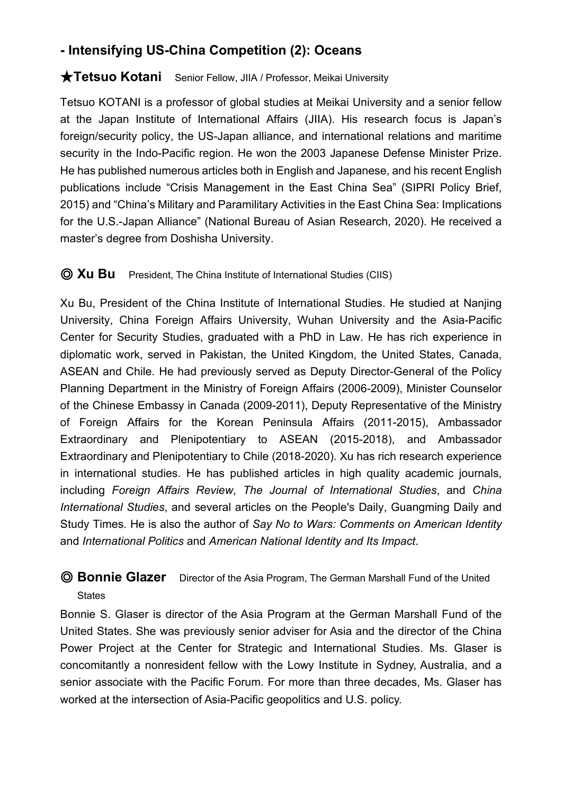# **- Intensifying US-China Competition (2): Oceans**

#### ★**Tetsuo Kotani** Senior Fellow, JIIA / Professor, Meikai University

Tetsuo KOTANI is a professor of global studies at Meikai University and a senior fellow at the Japan Institute of International Affairs (JIIA). His research focus is Japan's foreign/security policy, the US-Japan alliance, and international relations and maritime security in the Indo-Pacific region. He won the 2003 Japanese Defense Minister Prize. He has published numerous articles both in English and Japanese, and his recent English publications include "Crisis Management in the East China Sea" (SIPRI Policy Brief, 2015) and "China's Military and Paramilitary Activities in the East China Sea: Implications for the U.S.-Japan Alliance" (National Bureau of Asian Research, 2020). He received a master's degree from Doshisha University.

#### ◎ **Xu Bu** President, The China Institute of International Studies (CIIS)

Xu Bu, President of the China Institute of International Studies. He studied at Nanjing University, China Foreign Affairs University, Wuhan University and the Asia-Pacific Center for Security Studies, graduated with a PhD in Law. He has rich experience in diplomatic work, served in Pakistan, the United Kingdom, the United States, Canada, ASEAN and Chile. He had previously served as Deputy Director-General of the Policy Planning Department in the Ministry of Foreign Affairs (2006-2009), Minister Counselor of the Chinese Embassy in Canada (2009-2011), Deputy Representative of the Ministry of Foreign Affairs for the Korean Peninsula Affairs (2011-2015), Ambassador Extraordinary and Plenipotentiary to ASEAN (2015-2018), and Ambassador Extraordinary and Plenipotentiary to Chile (2018-2020). Xu has rich research experience in international studies. He has published articles in high quality academic journals, including *Foreign Affairs Review*, *The Journal of International Studies*, and *China International Studies*, and several articles on the People's Daily, Guangming Daily and Study Times. He is also the author of *Say No to Wars: Comments on American Identity* and *International Politics* and *American National Identity and Its Impact*.

# ◎ **Bonnie Glazer** Director of the Asia Program, The German Marshall Fund of the United **States**

Bonnie S. Glaser is director of the Asia Program at the German Marshall Fund of the United States. She was previously senior adviser for Asia and the director of the China Power Project at the Center for Strategic and International Studies. Ms. Glaser is concomitantly a nonresident fellow with the Lowy Institute in Sydney, Australia, and a senior associate with the Pacific Forum. For more than three decades, Ms. Glaser has worked at the intersection of Asia-Pacific geopolitics and U.S. policy.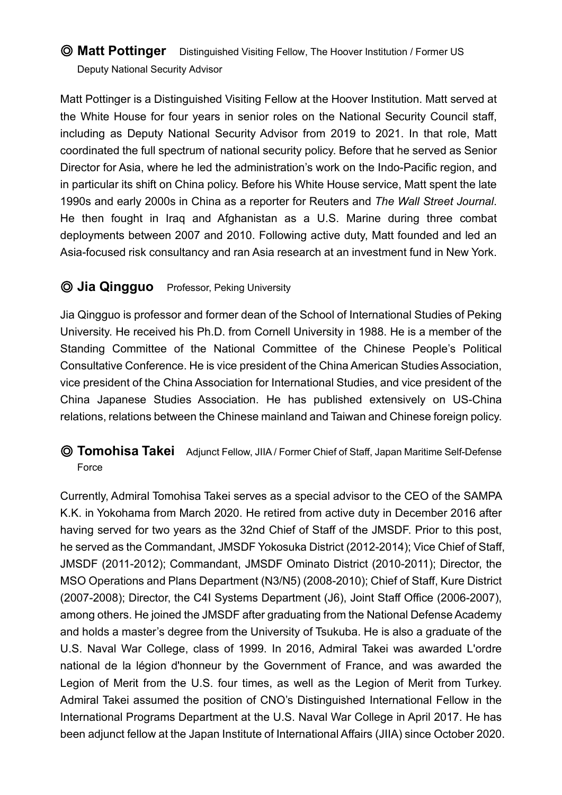# ◎ **Matt Pottinger** Distinguished Visiting Fellow, The Hoover Institution / Former US Deputy National Security Advisor

Matt Pottinger is a Distinguished Visiting Fellow at the Hoover Institution. Matt served at the White House for four years in senior roles on the National Security Council staff, including as Deputy National Security Advisor from 2019 to 2021. In that role, Matt coordinated the full spectrum of national security policy. Before that he served as Senior Director for Asia, where he led the administration's work on the Indo-Pacific region, and in particular its shift on China policy. Before his White House service, Matt spent the late 1990s and early 2000s in China as a reporter for Reuters and *The Wall Street Journal*. He then fought in Iraq and Afghanistan as a U.S. Marine during three combat deployments between 2007 and 2010. Following active duty, Matt founded and led an Asia-focused risk consultancy and ran Asia research at an investment fund in New York.

# ◎ **Jia Qingguo** Professor, Peking University

Jia Qingguo is professor and former dean of the School of International Studies of Peking University. He received his Ph.D. from Cornell University in 1988. He is a member of the Standing Committee of the National Committee of the Chinese People's Political Consultative Conference. He is vice president of the China American Studies Association, vice president of the China Association for International Studies, and vice president of the China Japanese Studies Association. He has published extensively on US-China relations, relations between the Chinese mainland and Taiwan and Chinese foreign policy.

### ◎ **Tomohisa Takei** Adjunct Fellow, JIIA / Former Chief of Staff, Japan Maritime Self-Defense Force

Currently, Admiral Tomohisa Takei serves as a special advisor to the CEO of the SAMPA K.K. in Yokohama from March 2020. He retired from active duty in December 2016 after having served for two years as the 32nd Chief of Staff of the JMSDF. Prior to this post, he served as the Commandant, JMSDF Yokosuka District (2012-2014); Vice Chief of Staff, JMSDF (2011-2012); Commandant, JMSDF Ominato District (2010-2011); Director, the MSO Operations and Plans Department (N3/N5) (2008-2010); Chief of Staff, Kure District (2007-2008); Director, the C4I Systems Department (J6), Joint Staff Office (2006-2007), among others. He joined the JMSDF after graduating from the National Defense Academy and holds a master's degree from the University of Tsukuba. He is also a graduate of the U.S. Naval War College, class of 1999. In 2016, Admiral Takei was awarded L'ordre national de la légion d'honneur by the Government of France, and was awarded the Legion of Merit from the U.S. four times, as well as the Legion of Merit from Turkey. Admiral Takei assumed the position of CNO's Distinguished International Fellow in the International Programs Department at the U.S. Naval War College in April 2017. He has been adjunct fellow at the Japan Institute of International Affairs (JIIA) since October 2020.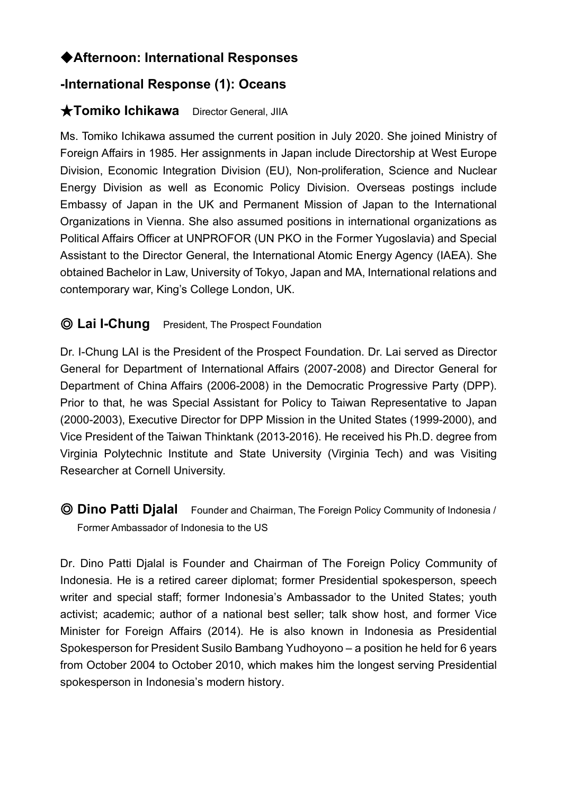# ◆**Afternoon: International Responses**

# **-International Response (1): Oceans**

### ★**Tomiko Ichikawa** Director General, JIIA

Ms. Tomiko Ichikawa assumed the current position in July 2020. She joined Ministry of Foreign Affairs in 1985. Her assignments in Japan include Directorship at West Europe Division, Economic Integration Division (EU), Non-proliferation, Science and Nuclear Energy Division as well as Economic Policy Division. Overseas postings include Embassy of Japan in the UK and Permanent Mission of Japan to the International Organizations in Vienna. She also assumed positions in international organizations as Political Affairs Officer at UNPROFOR (UN PKO in the Former Yugoslavia) and Special Assistant to the Director General, the International Atomic Energy Agency (IAEA). She obtained Bachelor in Law, University of Tokyo, Japan and MA, International relations and contemporary war, King's College London, UK.

# ◎ **Lai I-Chung** President, The Prospect Foundation

Dr. I-Chung LAI is the President of the Prospect Foundation. Dr. Lai served as Director General for Department of International Affairs (2007-2008) and Director General for Department of China Affairs (2006-2008) in the Democratic Progressive Party (DPP). Prior to that, he was Special Assistant for Policy to Taiwan Representative to Japan (2000-2003), Executive Director for DPP Mission in the United States (1999-2000), and Vice President of the Taiwan Thinktank (2013-2016). He received his Ph.D. degree from Virginia Polytechnic Institute and State University (Virginia Tech) and was Visiting Researcher at Cornell University.

◎ **Dino Patti Djalal** Founder and Chairman, The Foreign Policy Community of Indonesia / Former Ambassador of Indonesia to the US

Dr. Dino Patti Djalal is Founder and Chairman of The Foreign Policy Community of Indonesia. He is a retired career diplomat; former Presidential spokesperson, speech writer and special staff; former Indonesia's Ambassador to the United States; youth activist; academic; author of a national best seller; talk show host, and former Vice Minister for Foreign Affairs (2014). He is also known in Indonesia as Presidential Spokesperson for President Susilo Bambang Yudhoyono – a position he held for 6 years from October 2004 to October 2010, which makes him the longest serving Presidential spokesperson in Indonesia's modern history.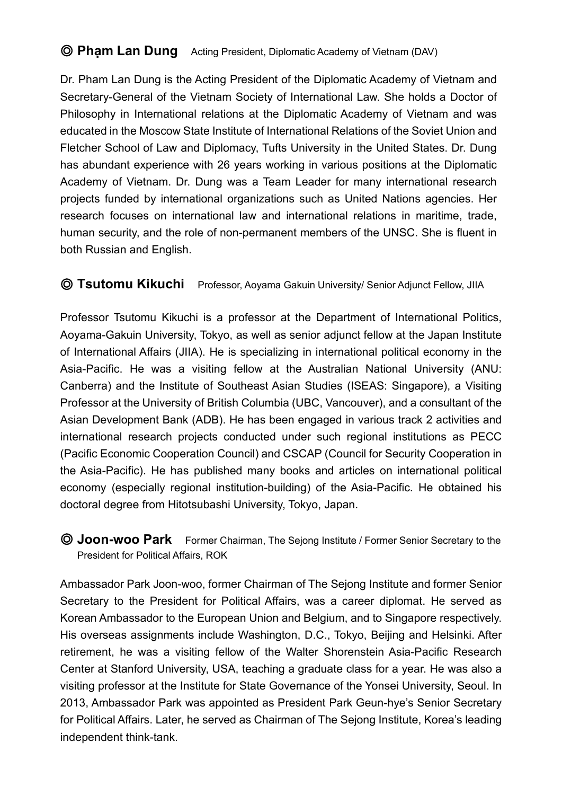# ◎ **Phạm Lan Dung** Acting President, Diplomatic Academy of Vietnam (DAV)

Dr. Pham Lan Dung is the Acting President of the Diplomatic Academy of Vietnam and Secretary-General of the Vietnam Society of International Law. She holds a Doctor of Philosophy in International relations at the Diplomatic Academy of Vietnam and was educated in the Moscow State Institute of International Relations of the Soviet Union and Fletcher School of Law and Diplomacy, Tufts University in the United States. Dr. Dung has abundant experience with 26 years working in various positions at the Diplomatic Academy of Vietnam. Dr. Dung was a Team Leader for many international research projects funded by international organizations such as United Nations agencies. Her research focuses on international law and international relations in maritime, trade, human security, and the role of non-permanent members of the UNSC. She is fluent in both Russian and English.

#### ◎ **Tsutomu Kikuchi** Professor, Aoyama Gakuin University/ Senior Adjunct Fellow, JIIA

Professor Tsutomu Kikuchi is a professor at the Department of International Politics, Aoyama-Gakuin University, Tokyo, as well as senior adjunct fellow at the Japan Institute of International Affairs (JIIA). He is specializing in international political economy in the Asia-Pacific. He was a visiting fellow at the Australian National University (ANU: Canberra) and the Institute of Southeast Asian Studies (ISEAS: Singapore), a Visiting Professor at the University of British Columbia (UBC, Vancouver), and a consultant of the Asian Development Bank (ADB). He has been engaged in various track 2 activities and international research projects conducted under such regional institutions as PECC (Pacific Economic Cooperation Council) and CSCAP (Council for Security Cooperation in the Asia-Pacific). He has published many books and articles on international political economy (especially regional institution-building) of the Asia-Pacific. He obtained his doctoral degree from Hitotsubashi University, Tokyo, Japan.

◎ **Joon-woo Park** Former Chairman, The Sejong Institute / Former Senior Secretary to the President for Political Affairs, ROK

Ambassador Park Joon-woo, former Chairman of The Sejong Institute and former Senior Secretary to the President for Political Affairs, was a career diplomat. He served as Korean Ambassador to the European Union and Belgium, and to Singapore respectively. His overseas assignments include Washington, D.C., Tokyo, Beijing and Helsinki. After retirement, he was a visiting fellow of the Walter Shorenstein Asia-Pacific Research Center at Stanford University, USA, teaching a graduate class for a year. He was also a visiting professor at the Institute for State Governance of the Yonsei University, Seoul. In 2013, Ambassador Park was appointed as President Park Geun-hye's Senior Secretary for Political Affairs. Later, he served as Chairman of The Sejong Institute, Korea's leading independent think-tank.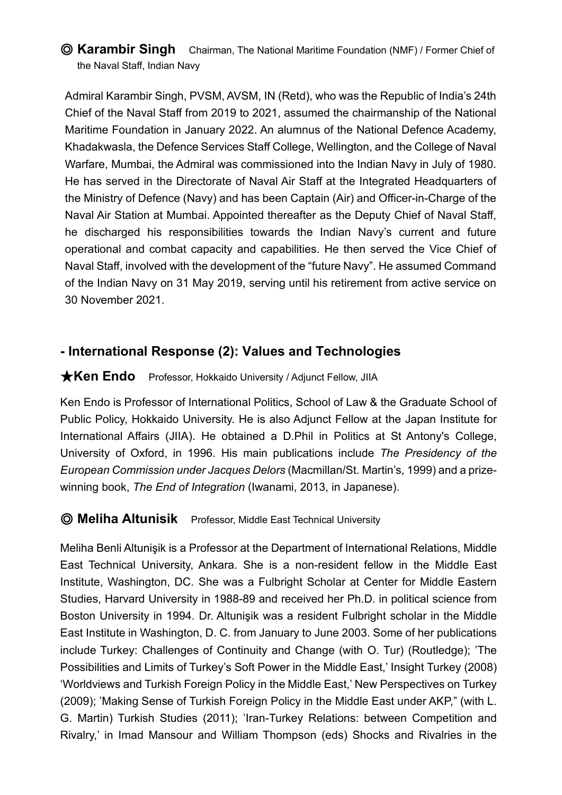### ◎ **Karambir Singh** Chairman, The National Maritime Foundation (NMF) / Former Chief of the Naval Staff, Indian Navy

Admiral Karambir Singh, PVSM, AVSM, IN (Retd), who was the Republic of India's 24th Chief of the Naval Staff from 2019 to 2021, assumed the chairmanship of the National Maritime Foundation in January 2022. An alumnus of the National Defence Academy, Khadakwasla, the Defence Services Staff College, Wellington, and the College of Naval Warfare, Mumbai, the Admiral was commissioned into the Indian Navy in July of 1980. He has served in the Directorate of Naval Air Staff at the Integrated Headquarters of the Ministry of Defence (Navy) and has been Captain (Air) and Officer-in-Charge of the Naval Air Station at Mumbai. Appointed thereafter as the Deputy Chief of Naval Staff, he discharged his responsibilities towards the Indian Navy's current and future operational and combat capacity and capabilities. He then served the Vice Chief of Naval Staff, involved with the development of the "future Navy". He assumed Command of the Indian Navy on 31 May 2019, serving until his retirement from active service on 30 November 2021.

# **- International Response (2): Values and Technologies**

#### **★Ken Endo** Professor, Hokkaido University / Adjunct Fellow, JIIA

Ken Endo is Professor of International Politics, School of Law & the Graduate School of Public Policy, Hokkaido University. He is also Adjunct Fellow at the Japan Institute for International Affairs (JIIA). He obtained a D.Phil in Politics at St Antony's College, University of Oxford, in 1996. His main publications include *The Presidency of the European Commission under Jacques Delors* (Macmillan/St. Martin's, 1999) and a prizewinning book, *The End of Integration* (Iwanami, 2013, in Japanese).

#### ◎ **Meliha Altunisik** Professor, Middle East Technical University

Meliha Benli Altunişik is a Professor at the Department of International Relations, Middle East Technical University, Ankara. She is a non-resident fellow in the Middle East Institute, Washington, DC. She was a Fulbright Scholar at Center for Middle Eastern Studies, Harvard University in 1988-89 and received her Ph.D. in political science from Boston University in 1994. Dr. Altunişik was a resident Fulbright scholar in the Middle East Institute in Washington, D. C. from January to June 2003. Some of her publications include Turkey: Challenges of Continuity and Change (with O. Tur) (Routledge); 'The Possibilities and Limits of Turkey's Soft Power in the Middle East,' Insight Turkey (2008) 'Worldviews and Turkish Foreign Policy in the Middle East,' New Perspectives on Turkey (2009); 'Making Sense of Turkish Foreign Policy in the Middle East under AKP," (with L. G. Martin) Turkish Studies (2011); 'Iran-Turkey Relations: between Competition and Rivalry,' in Imad Mansour and William Thompson (eds) Shocks and Rivalries in the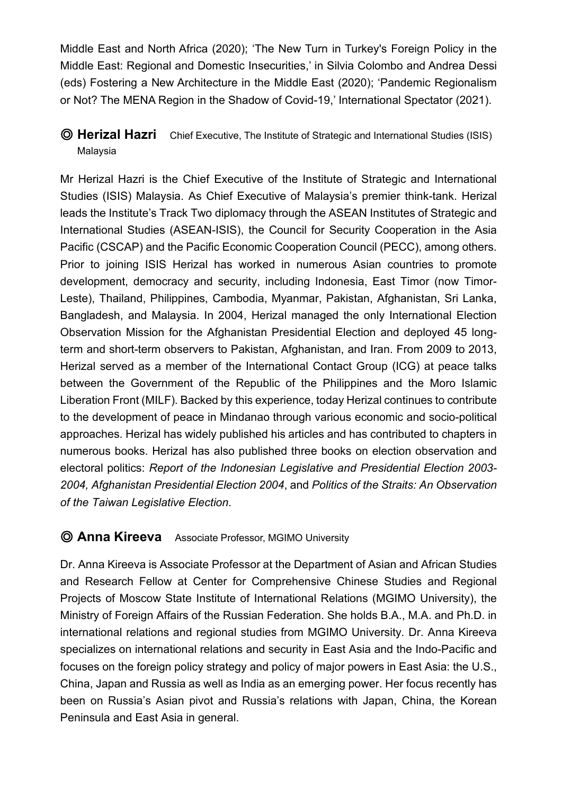Middle East and North Africa (2020); 'The New Turn in Turkey's Foreign Policy in the Middle East: Regional and Domestic Insecurities,' in Silvia Colombo and Andrea Dessi (eds) Fostering a New Architecture in the Middle East (2020); 'Pandemic Regionalism or Not? The MENA Region in the Shadow of Covid-19,' International Spectator (2021).

## ◎ **Herizal Hazri** Chief Executive, The Institute of Strategic and International Studies (ISIS) Malaysia

Mr Herizal Hazri is the Chief Executive of the Institute of Strategic and International Studies (ISIS) Malaysia. As Chief Executive of Malaysia's premier think-tank. Herizal leads the Institute's Track Two diplomacy through the ASEAN Institutes of Strategic and International Studies (ASEAN-ISIS), the Council for Security Cooperation in the Asia Pacific (CSCAP) and the Pacific Economic Cooperation Council (PECC), among others. Prior to joining ISIS Herizal has worked in numerous Asian countries to promote development, democracy and security, including Indonesia, East Timor (now Timor-Leste), Thailand, Philippines, Cambodia, Myanmar, Pakistan, Afghanistan, Sri Lanka, Bangladesh, and Malaysia. In 2004, Herizal managed the only International Election Observation Mission for the Afghanistan Presidential Election and deployed 45 longterm and short-term observers to Pakistan, Afghanistan, and Iran. From 2009 to 2013, Herizal served as a member of the International Contact Group (ICG) at peace talks between the Government of the Republic of the Philippines and the Moro Islamic Liberation Front (MILF). Backed by this experience, today Herizal continues to contribute to the development of peace in Mindanao through various economic and socio-political approaches. Herizal has widely published his articles and has contributed to chapters in numerous books. Herizal has also published three books on election observation and electoral politics: *Report of the Indonesian Legislative and Presidential Election 2003- 2004, Afghanistan Presidential Election 2004*, and *Politics of the Straits: An Observation of the Taiwan Legislative Election*.

### ◎ **Anna Kireeva** Associate Professor, MGIMO University

Dr. Anna Kireeva is Associate Professor at the Department of Asian and African Studies and Research Fellow at Center for Comprehensive Chinese Studies and Regional Projects of Moscow State Institute of International Relations (MGIMO University), the Ministry of Foreign Affairs of the Russian Federation. She holds B.A., M.A. and Ph.D. in international relations and regional studies from MGIMO University. Dr. Anna Kireeva specializes on international relations and security in East Asia and the Indo-Pacific and focuses on the foreign policy strategy and policy of major powers in East Asia: the U.S., China, Japan and Russia as well as India as an emerging power. Her focus recently has been on Russia's Asian pivot and Russia's relations with Japan, China, the Korean Peninsula and East Asia in general.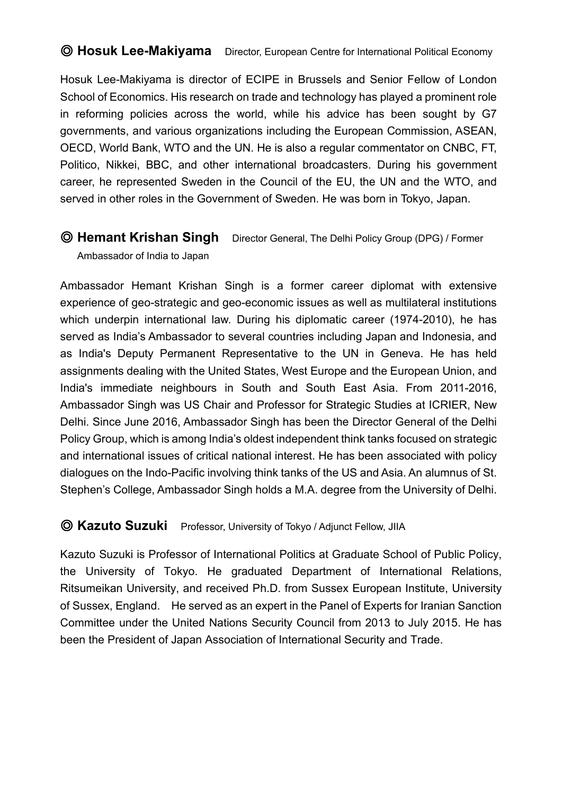### © **Hosuk Lee-Makiyama** Director, European Centre for International Political Economy

Hosuk Lee-Makiyama is director of ECIPE in Brussels and Senior Fellow of London School of Economics. His research on trade and technology has played a prominent role in reforming policies across the world, while his advice has been sought by G7 governments, and various organizations including the European Commission, ASEAN, OECD, World Bank, WTO and the UN. He is also a regular commentator on CNBC, FT, Politico, Nikkei, BBC, and other international broadcasters. During his government career, he represented Sweden in the Council of the EU, the UN and the WTO, and served in other roles in the Government of Sweden. He was born in Tokyo, Japan.

# ◎ **Hemant Krishan Singh** Director General, The Delhi Policy Group (DPG) / Former

Ambassador of India to Japan

Ambassador Hemant Krishan Singh is a former career diplomat with extensive experience of geo-strategic and geo-economic issues as well as multilateral institutions which underpin international law. During his diplomatic career (1974-2010), he has served as India's Ambassador to several countries including Japan and Indonesia, and as India's Deputy Permanent Representative to the UN in Geneva. He has held assignments dealing with the United States, West Europe and the European Union, and India's immediate neighbours in South and South East Asia. From 2011-2016, Ambassador Singh was US Chair and Professor for Strategic Studies at ICRIER, New Delhi. Since June 2016, Ambassador Singh has been the Director General of the Delhi Policy Group, which is among India's oldest independent think tanks focused on strategic and international issues of critical national interest. He has been associated with policy dialogues on the Indo-Pacific involving think tanks of the US and Asia. An alumnus of St. Stephen's College, Ambassador Singh holds a M.A. degree from the University of Delhi.

#### ◎ **Kazuto Suzuki** Professor, University of Tokyo / Adjunct Fellow, JIIA

Kazuto Suzuki is Professor of International Politics at Graduate School of Public Policy, the University of Tokyo. He graduated Department of International Relations, Ritsumeikan University, and received Ph.D. from Sussex European Institute, University of Sussex, England. He served as an expert in the Panel of Experts for Iranian Sanction Committee under the United Nations Security Council from 2013 to July 2015. He has been the President of Japan Association of International Security and Trade.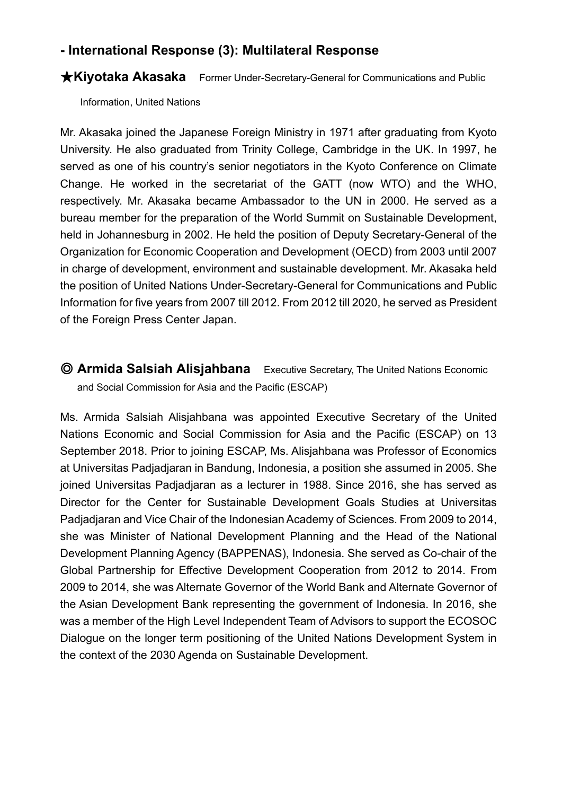## **- International Response (3): Multilateral Response**

#### ★**Kiyotaka Akasaka** Former Under-Secretary-General for Communications and Public

Information, United Nations

Mr. Akasaka joined the Japanese Foreign Ministry in 1971 after graduating from Kyoto University. He also graduated from Trinity College, Cambridge in the UK. In 1997, he served as one of his country's senior negotiators in the Kyoto Conference on Climate Change. He worked in the secretariat of the GATT (now WTO) and the WHO, respectively. Mr. Akasaka became Ambassador to the UN in 2000. He served as a bureau member for the preparation of the World Summit on Sustainable Development, held in Johannesburg in 2002. He held the position of Deputy Secretary-General of the Organization for Economic Cooperation and Development (OECD) from 2003 until 2007 in charge of development, environment and sustainable development. Mr. Akasaka held the position of United Nations Under-Secretary-General for Communications and Public Information for five years from 2007 till 2012. From 2012 till 2020, he served as President of the Foreign Press Center Japan.

◎ **Armida Salsiah Alisjahbana** Executive Secretary, The United Nations Economic and Social Commission for Asia and the Pacific (ESCAP)

Ms. Armida Salsiah Alisjahbana was appointed Executive Secretary of the United Nations Economic and Social Commission for Asia and the Pacific (ESCAP) on 13 September 2018. Prior to joining ESCAP, Ms. Alisjahbana was Professor of Economics at Universitas Padjadjaran in Bandung, Indonesia, a position she assumed in 2005. She joined Universitas Padjadjaran as a lecturer in 1988. Since 2016, she has served as Director for the Center for Sustainable Development Goals Studies at Universitas Padjadjaran and Vice Chair of the Indonesian Academy of Sciences. From 2009 to 2014, she was Minister of National Development Planning and the Head of the National Development Planning Agency (BAPPENAS), Indonesia. She served as Co-chair of the Global Partnership for Effective Development Cooperation from 2012 to 2014. From 2009 to 2014, she was Alternate Governor of the World Bank and Alternate Governor of the Asian Development Bank representing the government of Indonesia. In 2016, she was a member of the High Level Independent Team of Advisors to support the ECOSOC Dialogue on the longer term positioning of the United Nations Development System in the context of the 2030 Agenda on Sustainable Development.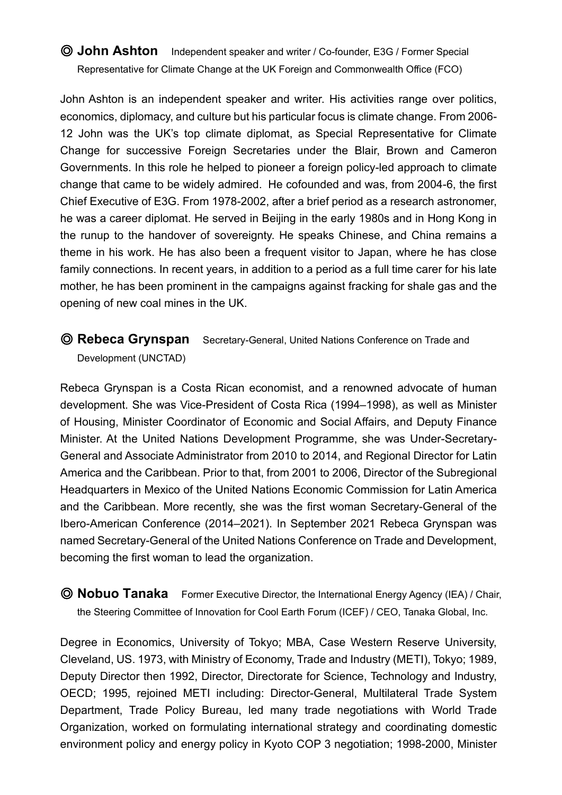## ◎ **John Ashton** Independent speaker and writer / Co-founder, E3G / Former Special Representative for Climate Change at the UK Foreign and Commonwealth Office (FCO)

John Ashton is an independent speaker and writer. His activities range over politics, economics, diplomacy, and culture but his particular focus is climate change. From 2006- 12 John was the UK's top climate diplomat, as Special Representative for Climate Change for successive Foreign Secretaries under the Blair, Brown and Cameron Governments. In this role he helped to pioneer a foreign policy-led approach to climate change that came to be widely admired. He cofounded and was, from 2004-6, the first Chief Executive of E3G. From 1978-2002, after a brief period as a research astronomer, he was a career diplomat. He served in Beijing in the early 1980s and in Hong Kong in the runup to the handover of sovereignty. He speaks Chinese, and China remains a theme in his work. He has also been a frequent visitor to Japan, where he has close family connections. In recent years, in addition to a period as a full time carer for his late mother, he has been prominent in the campaigns against fracking for shale gas and the opening of new coal mines in the UK.

### ◎ **Rebeca Grynspan** Secretary-General, United Nations Conference on Trade and Development (UNCTAD)

Rebeca Grynspan is a Costa Rican economist, and a renowned advocate of human development. She was Vice-President of Costa Rica (1994–1998), as well as Minister of Housing, Minister Coordinator of Economic and Social Affairs, and Deputy Finance Minister. At the United Nations Development Programme, she was Under-Secretary-General and Associate Administrator from 2010 to 2014, and Regional Director for Latin America and the Caribbean. Prior to that, from 2001 to 2006, Director of the Subregional Headquarters in Mexico of the United Nations Economic Commission for Latin America and the Caribbean. More recently, she was the first woman Secretary-General of the Ibero-American Conference (2014–2021). In September 2021 Rebeca Grynspan was named Secretary-General of the United Nations Conference on Trade and Development, becoming the first woman to lead the organization.

◎ **Nobuo Tanaka** Former Executive Director, the International Energy Agency (IEA) / Chair, the Steering Committee of Innovation for Cool Earth Forum (ICEF) / CEO, Tanaka Global, Inc.

Degree in Economics, University of Tokyo; MBA, Case Western Reserve University, Cleveland, US. 1973, with Ministry of Economy, Trade and Industry (METI), Tokyo; 1989, Deputy Director then 1992, Director, Directorate for Science, Technology and Industry, OECD; 1995, rejoined METI including: Director-General, Multilateral Trade System Department, Trade Policy Bureau, led many trade negotiations with World Trade Organization, worked on formulating international strategy and coordinating domestic environment policy and energy policy in Kyoto COP 3 negotiation; 1998-2000, Minister